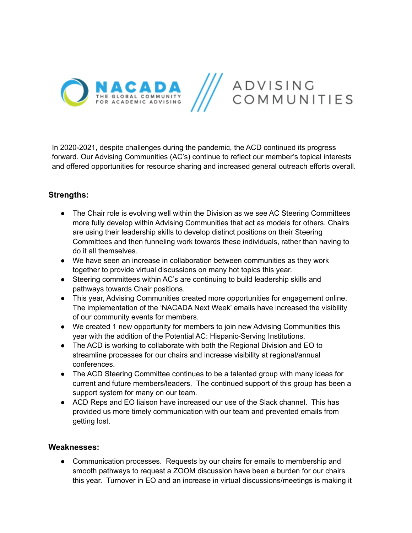

In 2020-2021, despite challenges during the pandemic, the ACD continued its progress forward. Our Advising Communities (AC's) continue to reflect our member's topical interests and offered opportunities for resource sharing and increased general outreach efforts overall.

## **Strengths:**

- The Chair role is evolving well within the Division as we see AC Steering Committees more fully develop within Advising Communities that act as models for others. Chairs are using their leadership skills to develop distinct positions on their Steering Committees and then funneling work towards these individuals, rather than having to do it all themselves.
- We have seen an increase in collaboration between communities as they work together to provide virtual discussions on many hot topics this year.
- Steering committees within AC's are continuing to build leadership skills and pathways towards Chair positions.
- This year, Advising Communities created more opportunities for engagement online. The implementation of the 'NACADA Next Week' emails have increased the visibility of our community events for members.
- We created 1 new opportunity for members to join new Advising Communities this year with the addition of the Potential AC: Hispanic-Serving Institutions.
- The ACD is working to collaborate with both the Regional Division and EO to streamline processes for our chairs and increase visibility at regional/annual conferences.
- The ACD Steering Committee continues to be a talented group with many ideas for current and future members/leaders. The continued support of this group has been a support system for many on our team.
- ACD Reps and EO liaison have increased our use of the Slack channel. This has provided us more timely communication with our team and prevented emails from getting lost.

## **Weaknesses:**

● Communication processes. Requests by our chairs for emails to membership and smooth pathways to request a ZOOM discussion have been a burden for our chairs this year. Turnover in EO and an increase in virtual discussions/meetings is making it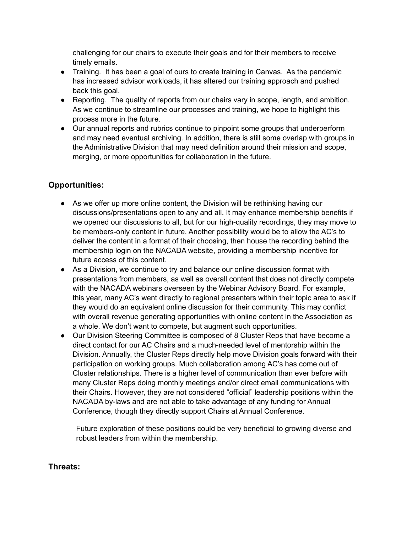challenging for our chairs to execute their goals and for their members to receive timely emails.

- Training. It has been a goal of ours to create training in Canvas. As the pandemic has increased advisor workloads, it has altered our training approach and pushed back this goal.
- Reporting. The quality of reports from our chairs vary in scope, length, and ambition. As we continue to streamline our processes and training, we hope to highlight this process more in the future.
- Our annual reports and rubrics continue to pinpoint some groups that underperform and may need eventual archiving. In addition, there is still some overlap with groups in the Administrative Division that may need definition around their mission and scope, merging, or more opportunities for collaboration in the future.

## **Opportunities:**

- As we offer up more online content, the Division will be rethinking having our discussions/presentations open to any and all. It may enhance membership benefits if we opened our discussions to all, but for our high-quality recordings, they may move to be members-only content in future. Another possibility would be to allow the AC's to deliver the content in a format of their choosing, then house the recording behind the membership login on the NACADA website, providing a membership incentive for future access of this content.
- As a Division, we continue to try and balance our online discussion format with presentations from members, as well as overall content that does not directly compete with the NACADA webinars overseen by the Webinar Advisory Board. For example, this year, many AC's went directly to regional presenters within their topic area to ask if they would do an equivalent online discussion for their community. This may conflict with overall revenue generating opportunities with online content in the Association as a whole. We don't want to compete, but augment such opportunities.
- Our Division Steering Committee is composed of 8 Cluster Reps that have become a direct contact for our AC Chairs and a much-needed level of mentorship within the Division. Annually, the Cluster Reps directly help move Division goals forward with their participation on working groups. Much collaboration among AC's has come out of Cluster relationships. There is a higher level of communication than ever before with many Cluster Reps doing monthly meetings and/or direct email communications with their Chairs. However, they are not considered "official" leadership positions within the NACADA by-laws and are not able to take advantage of any funding for Annual Conference, though they directly support Chairs at Annual Conference.

Future exploration of these positions could be very beneficial to growing diverse and robust leaders from within the membership.

## **Threats:**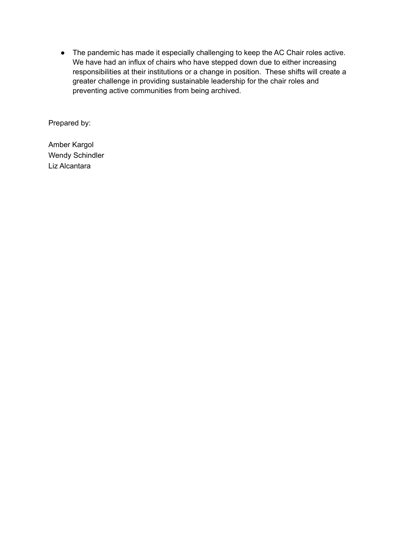● The pandemic has made it especially challenging to keep the AC Chair roles active. We have had an influx of chairs who have stepped down due to either increasing responsibilities at their institutions or a change in position. These shifts will create a greater challenge in providing sustainable leadership for the chair roles and preventing active communities from being archived.

Prepared by:

Amber Kargol Wendy Schindler Liz Alcantara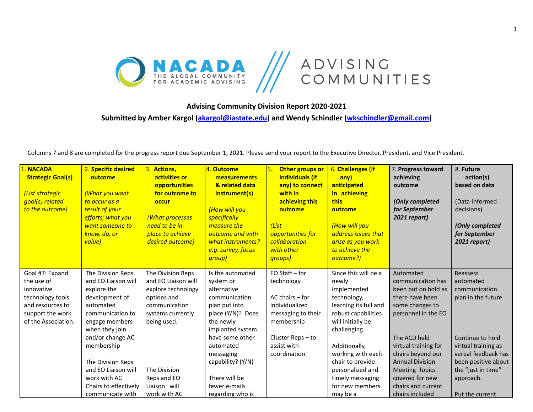

**Advising Community Division Report 2020-2021**

**Submitted by Amber Kargol [\(akargol@iastate.edu](mailto:akargol@iastate.edu)) and Wendy Schindler [\(wkschindler@gmail.com\)](mailto:wkschindler@gmail.com)**

Columns 7 and 8 are completed for the progress report due September 1, 2021. Please send your report to the Executive Director, President, and Vice President.

| 1. NACADA<br><b>Strategic Goal(s)</b><br>(List strategic<br>goal(s) related<br>to the outcome) | 2. Specific desired<br>outcome<br><b>What you want</b><br>to occur as a<br>result of your<br>efforts; what you<br>want someone to<br>know, do, or<br>value) | 3. Actions,<br>activities or<br>opportunities<br>for outcome to<br>occur<br>(What processes<br>need to be in<br>place to achieve<br>desired outcome) | 4. Outcome<br>measurements<br>& related data<br>instrument(s)<br>(How will you<br>specifically<br>measure the<br><b>outcome and with</b><br>what instruments?<br>e.g. survey, focus<br>group) | Other groups or<br>5.<br>individuals (if<br>any) to connect<br>with in<br>achieving this<br>outcome<br>(List<br>opportunities for<br>collaboration<br>with other<br><i><b>groups</b></i> | 6. Challenges (if<br>any)<br>anticipated<br>in achieving<br>this<br>outcome<br>(How will you<br>address issues that<br>arise as you work<br>to achieve the<br>outcome?) | 7. Progress toward<br>achieving<br>outcome<br>(Only completed<br>for September<br>2021 report) | 8. Future<br>action(s)<br>based on data<br>(Data-informed<br>decisions)<br>(Only completed<br>for September<br>2021 report) |
|------------------------------------------------------------------------------------------------|-------------------------------------------------------------------------------------------------------------------------------------------------------------|------------------------------------------------------------------------------------------------------------------------------------------------------|-----------------------------------------------------------------------------------------------------------------------------------------------------------------------------------------------|------------------------------------------------------------------------------------------------------------------------------------------------------------------------------------------|-------------------------------------------------------------------------------------------------------------------------------------------------------------------------|------------------------------------------------------------------------------------------------|-----------------------------------------------------------------------------------------------------------------------------|
| Goal #7: Expand<br>the use of                                                                  | The Division Reps<br>and EO Liaison will                                                                                                                    | The Division Reps<br>and EO Liaison will                                                                                                             | Is the automated<br>system or                                                                                                                                                                 | EO Staff - for<br>technology                                                                                                                                                             | Since this will be a<br>newly                                                                                                                                           | Automated<br>communication has                                                                 | Reassess<br>automated                                                                                                       |
| innovative                                                                                     | explore the                                                                                                                                                 | explore technology                                                                                                                                   | alternative                                                                                                                                                                                   |                                                                                                                                                                                          | implemented                                                                                                                                                             | been put on hold as                                                                            | communication                                                                                                               |
| technology tools                                                                               | development of                                                                                                                                              | options and                                                                                                                                          | communication                                                                                                                                                                                 | AC chairs - for                                                                                                                                                                          | technology,                                                                                                                                                             | there have been                                                                                | plan in the future                                                                                                          |
| and resources to                                                                               | automated                                                                                                                                                   | communication                                                                                                                                        | plan put into                                                                                                                                                                                 | individualized                                                                                                                                                                           | learning its full and                                                                                                                                                   | some changes to                                                                                |                                                                                                                             |
| support the work                                                                               | communication to                                                                                                                                            | systems currently                                                                                                                                    | place (Y/N)? Does                                                                                                                                                                             | messaging to their                                                                                                                                                                       | robust capabilities                                                                                                                                                     | personnel in the EO                                                                            |                                                                                                                             |
| of the Association.                                                                            | engage members                                                                                                                                              | being used.                                                                                                                                          | the newly                                                                                                                                                                                     | membership                                                                                                                                                                               | will initially be                                                                                                                                                       |                                                                                                |                                                                                                                             |
|                                                                                                | when they join                                                                                                                                              |                                                                                                                                                      | implanted system                                                                                                                                                                              |                                                                                                                                                                                          | challenging.                                                                                                                                                            |                                                                                                |                                                                                                                             |
|                                                                                                | and/or change AC                                                                                                                                            |                                                                                                                                                      | have some other                                                                                                                                                                               | Cluster Reps-to<br>assist with                                                                                                                                                           |                                                                                                                                                                         | The ACD held                                                                                   | Continue to hold                                                                                                            |
|                                                                                                | membership                                                                                                                                                  |                                                                                                                                                      | automated<br>messaging                                                                                                                                                                        | coordination                                                                                                                                                                             | Additionally,<br>working with each                                                                                                                                      | virtual training for<br>chairs beyond our                                                      | virtual training as<br>verbal feedback has                                                                                  |
|                                                                                                | The Division Reps                                                                                                                                           |                                                                                                                                                      | capability? (Y/N)                                                                                                                                                                             |                                                                                                                                                                                          | chair to provide                                                                                                                                                        | <b>Annual Division</b>                                                                         | been positive about                                                                                                         |
|                                                                                                | and EO Liaison will                                                                                                                                         | The Division                                                                                                                                         |                                                                                                                                                                                               |                                                                                                                                                                                          | personalized and                                                                                                                                                        | <b>Meeting Topics</b>                                                                          | the "just in time"                                                                                                          |
|                                                                                                | work with AC                                                                                                                                                | Reps and EO                                                                                                                                          | There will be                                                                                                                                                                                 |                                                                                                                                                                                          | timely messaging                                                                                                                                                        | covered for new                                                                                | approach.                                                                                                                   |
|                                                                                                | Chairs to effectively                                                                                                                                       | Liaison will                                                                                                                                         | fewer e-mails                                                                                                                                                                                 |                                                                                                                                                                                          | for new members                                                                                                                                                         | chairs and current                                                                             |                                                                                                                             |
|                                                                                                | communicate with                                                                                                                                            | work with AC                                                                                                                                         | regarding who is                                                                                                                                                                              |                                                                                                                                                                                          | may be a                                                                                                                                                                | chairs included                                                                                | Put the current                                                                                                             |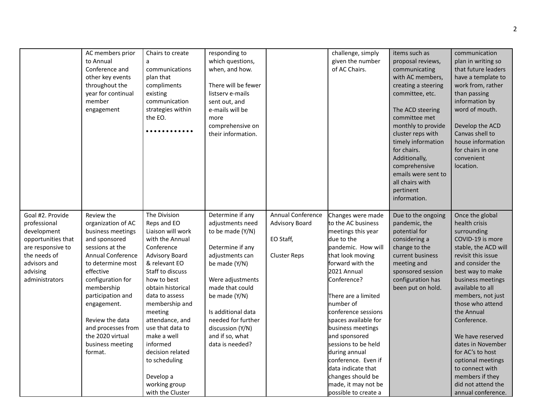|                                                                                                                                                          | AC members prior<br>to Annual<br>Conference and<br>other key events<br>throughout the<br>year for continual<br>member<br>engagement                                                                                                                                                                                        | Chairs to create<br>a<br>communications<br>plan that<br>compliments<br>existing<br>communication<br>strategies within<br>the EO.<br>.                                                                                                                                                                                                                                                       | responding to<br>which questions,<br>when, and how.<br>There will be fewer<br>listserv e-mails<br>sent out, and<br>e-mails will be<br>more<br>comprehensive on<br>their information.                                                                                           |                                                                                | challenge, simply<br>given the number<br>of AC Chairs.                                                                                                                                                                                                                                                                                                                                                                                                    | items such as<br>proposal reviews,<br>communicating<br>with AC members,<br>creating a steering<br>committee, etc.<br>The ACD steering<br>committee met<br>monthly to provide<br>cluster reps with<br>timely information<br>for chairs.<br>Additionally,<br>comprehensive<br>emails were sent to<br>all chairs with<br>pertinent<br>information. | communication<br>plan in writing so<br>that future leaders<br>have a template to<br>work from, rather<br>than passing<br>information by<br>word of mouth.<br>Develop the ACD<br>Canvas shell to<br>house information<br>for chairs in one<br>convenient<br>location.                                                                                                                                                                         |
|----------------------------------------------------------------------------------------------------------------------------------------------------------|----------------------------------------------------------------------------------------------------------------------------------------------------------------------------------------------------------------------------------------------------------------------------------------------------------------------------|---------------------------------------------------------------------------------------------------------------------------------------------------------------------------------------------------------------------------------------------------------------------------------------------------------------------------------------------------------------------------------------------|--------------------------------------------------------------------------------------------------------------------------------------------------------------------------------------------------------------------------------------------------------------------------------|--------------------------------------------------------------------------------|-----------------------------------------------------------------------------------------------------------------------------------------------------------------------------------------------------------------------------------------------------------------------------------------------------------------------------------------------------------------------------------------------------------------------------------------------------------|-------------------------------------------------------------------------------------------------------------------------------------------------------------------------------------------------------------------------------------------------------------------------------------------------------------------------------------------------|----------------------------------------------------------------------------------------------------------------------------------------------------------------------------------------------------------------------------------------------------------------------------------------------------------------------------------------------------------------------------------------------------------------------------------------------|
| Goal #2. Provide<br>professional<br>development<br>opportunities that<br>are responsive to<br>the needs of<br>advisors and<br>advising<br>administrators | Review the<br>organization of AC<br>business meetings<br>and sponsored<br>sessions at the<br><b>Annual Conference</b><br>to determine most<br>effective<br>configuration for<br>membership<br>participation and<br>engagement.<br>Review the data<br>and processes from<br>the 2020 virtual<br>business meeting<br>format. | The Division<br>Reps and EO<br>Liaison will work<br>with the Annual<br>Conference<br><b>Advisory Board</b><br>& relevant EO<br>Staff to discuss<br>how to best<br>obtain historical<br>data to assess<br>membership and<br>meeting<br>attendance, and<br>use that data to<br>make a well<br>informed<br>decision related<br>to scheduling<br>Develop a<br>working group<br>with the Cluster | Determine if any<br>adjustments need<br>to be made (Y/N)<br>Determine if any<br>adjustments can<br>be made (Y/N)<br>Were adjustments<br>made that could<br>be made (Y/N)<br>Is additional data<br>needed for further<br>discussion (Y/N)<br>and if so, what<br>data is needed? | Annual Conference<br><b>Advisory Board</b><br>EO Staff,<br><b>Cluster Reps</b> | Changes were made<br>to the AC business<br>meetings this year<br>due to the<br>pandemic. How will<br>that look moving<br>forward with the<br>2021 Annual<br>Conference?<br>There are a limited<br>number of<br>conference sessions<br>spaces available for<br>business meetings<br>and sponsored<br>sessions to be held<br>during annual<br>conference. Even if<br>data indicate that<br>changes should be<br>made, it may not be<br>possible to create a | Due to the ongoing<br>pandemic, the<br>potential for<br>considering a<br>change to the<br>current business<br>meeting and<br>sponsored session<br>configuration has<br>been put on hold.                                                                                                                                                        | Once the global<br>health crisis<br>surrounding<br>COVID-19 is more<br>stable, the ACD will<br>revisit this issue<br>and consider the<br>best way to make<br>business meetings<br>available to all<br>members, not just<br>those who attend<br>the Annual<br>Conference.<br>We have reserved<br>dates in November<br>for AC's to host<br>optional meetings<br>to connect with<br>members if they<br>did not attend the<br>annual conference. |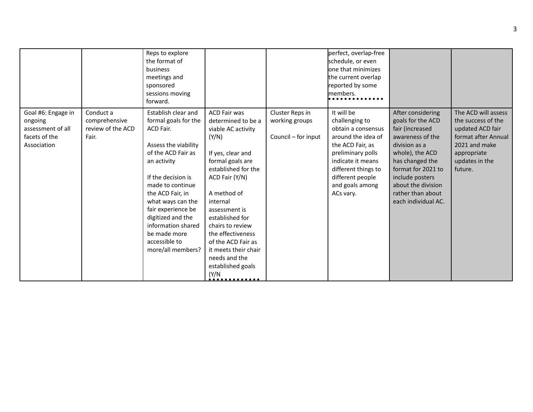|                                                                                    |                                                          | Reps to explore<br>the format of<br>business<br>meetings and<br>sponsored<br>sessions moving<br>forward.                                                                                                                                                                                                                        |                                                                                                                                                                                                                                                                                                                                                                      |                                                          | perfect, overlap-free<br>schedule, or even<br>one that minimizes<br>the current overlap<br>reported by some<br>members.                                                                                           |                                                                                                                                                                                                                                                 |                                                                                                                                                   |
|------------------------------------------------------------------------------------|----------------------------------------------------------|---------------------------------------------------------------------------------------------------------------------------------------------------------------------------------------------------------------------------------------------------------------------------------------------------------------------------------|----------------------------------------------------------------------------------------------------------------------------------------------------------------------------------------------------------------------------------------------------------------------------------------------------------------------------------------------------------------------|----------------------------------------------------------|-------------------------------------------------------------------------------------------------------------------------------------------------------------------------------------------------------------------|-------------------------------------------------------------------------------------------------------------------------------------------------------------------------------------------------------------------------------------------------|---------------------------------------------------------------------------------------------------------------------------------------------------|
| Goal #6: Engage in<br>ongoing<br>assessment of all<br>facets of the<br>Association | Conduct a<br>comprehensive<br>review of the ACD<br>Fair. | Establish clear and<br>formal goals for the<br>ACD Fair.<br>Assess the viability<br>of the ACD Fair as<br>an activity<br>If the decision is<br>made to continue<br>the ACD Fair, in<br>what ways can the<br>fair experience be<br>digitized and the<br>information shared<br>be made more<br>accessible to<br>more/all members? | ACD Fair was<br>determined to be a<br>viable AC activity<br>(Y/N)<br>If yes, clear and<br>formal goals are<br>established for the<br>ACD Fair (Y/N)<br>A method of<br>internal<br>assessment is<br>established for<br>chairs to review<br>the effectiveness<br>of the ACD Fair as<br>it meets their chair<br>needs and the<br>established goals<br>(Y/N)<br><u>.</u> | Cluster Reps in<br>working groups<br>Council - for input | It will be<br>challenging to<br>obtain a consensus<br>around the idea of<br>the ACD Fair, as<br>preliminary polls<br>indicate it means<br>different things to<br>different people<br>and goals among<br>ACs vary. | After considering<br>goals for the ACD<br>fair (increased<br>awareness of the<br>division as a<br>whole), the ACD<br>has changed the<br>format for 2021 to<br>include posters<br>about the division<br>rather than about<br>each individual AC. | The ACD will assess<br>the success of the<br>updated ACD fair<br>format after Annual<br>2021 and make<br>appropriate<br>updates in the<br>future. |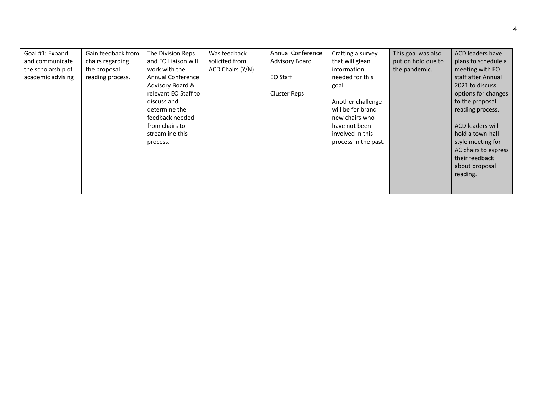| Goal #1: Expand    | Gain feedback from | The Division Reps    | Was feedback     | <b>Annual Conference</b> | Crafting a survey    | This goal was also | ACD leaders have        |
|--------------------|--------------------|----------------------|------------------|--------------------------|----------------------|--------------------|-------------------------|
| and communicate    | chairs regarding   | and EO Liaison will  | solicited from   | <b>Advisory Board</b>    | that will glean      | put on hold due to | plans to schedule a     |
| the scholarship of | the proposal       | work with the        | ACD Chairs (Y/N) |                          | information          | the pandemic.      | meeting with EO         |
| academic advising  | reading process.   | Annual Conference    |                  | EO Staff                 | needed for this      |                    | staff after Annual      |
|                    |                    | Advisory Board &     |                  |                          | goal.                |                    | 2021 to discuss         |
|                    |                    | relevant EO Staff to |                  | <b>Cluster Reps</b>      |                      |                    | options for changes     |
|                    |                    | discuss and          |                  |                          | Another challenge    |                    | to the proposal         |
|                    |                    | determine the        |                  |                          | will be for brand    |                    | reading process.        |
|                    |                    | feedback needed      |                  |                          | new chairs who       |                    |                         |
|                    |                    | from chairs to       |                  |                          | have not been        |                    | <b>ACD leaders will</b> |
|                    |                    | streamline this      |                  |                          | involved in this     |                    | hold a town-hall        |
|                    |                    | process.             |                  |                          | process in the past. |                    | style meeting for       |
|                    |                    |                      |                  |                          |                      |                    | AC chairs to express    |
|                    |                    |                      |                  |                          |                      |                    | their feedback          |
|                    |                    |                      |                  |                          |                      |                    | about proposal          |
|                    |                    |                      |                  |                          |                      |                    | reading.                |
|                    |                    |                      |                  |                          |                      |                    |                         |
|                    |                    |                      |                  |                          |                      |                    |                         |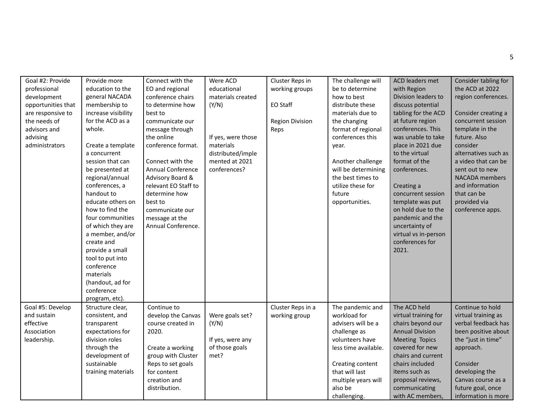| Goal #2: Provide   | Provide more        | Connect with the         | Were ACD           | Cluster Reps in        | The challenge will   | ACD leaders met        | Consider tabling for  |
|--------------------|---------------------|--------------------------|--------------------|------------------------|----------------------|------------------------|-----------------------|
| professional       | education to the    | EO and regional          | educational        | working groups         | be to determine      | with Region            | the ACD at 2022       |
| development        | general NACADA      | conference chairs        | materials created  |                        | how to best          | Division leaders to    | region conferences.   |
| opportunities that | membership to       | to determine how         | (Y/N)              | EO Staff               | distribute these     | discuss potential      |                       |
| are responsive to  | increase visibility | best to                  |                    |                        | materials due to     | tabling for the ACD    | Consider creating a   |
| the needs of       | for the ACD as a    | communicate our          |                    | <b>Region Division</b> | the changing         | at future region       | concurrent session    |
| advisors and       | whole.              | message through          |                    | Reps                   | format of regional   | conferences. This      | template in the       |
| advising           |                     | the online               | If yes, were those |                        | conferences this     | was unable to take     | future. Also          |
| administrators     | Create a template   | conference format.       | materials          |                        | year.                | place in 2021 due      | consider              |
|                    | a concurrent        |                          | distributed/imple  |                        |                      | to the virtual         | alternatives such as  |
|                    | session that can    | Connect with the         | mented at 2021     |                        | Another challenge    | format of the          | a video that can be   |
|                    | be presented at     | <b>Annual Conference</b> | conferences?       |                        | will be determining  | conferences.           | sent out to new       |
|                    | regional/annual     | Advisory Board &         |                    |                        | the best times to    |                        | <b>NACADA</b> members |
|                    | conferences, a      | relevant EO Staff to     |                    |                        | utilize these for    | Creating a             | and information       |
|                    | handout to          | determine how            |                    |                        | future               | concurrent session     | that can be           |
|                    | educate others on   | best to                  |                    |                        | opportunities.       | template was put       | provided via          |
|                    | how to find the     | communicate our          |                    |                        |                      | on hold due to the     | conference apps.      |
|                    | four communities    | message at the           |                    |                        |                      | pandemic and the       |                       |
|                    | of which they are   | Annual Conference.       |                    |                        |                      | uncertainty of         |                       |
|                    | a member, and/or    |                          |                    |                        |                      | virtual vs in-person   |                       |
|                    | create and          |                          |                    |                        |                      | conferences for        |                       |
|                    | provide a small     |                          |                    |                        |                      | 2021.                  |                       |
|                    | tool to put into    |                          |                    |                        |                      |                        |                       |
|                    | conference          |                          |                    |                        |                      |                        |                       |
|                    | materials           |                          |                    |                        |                      |                        |                       |
|                    | (handout, ad for    |                          |                    |                        |                      |                        |                       |
|                    | conference          |                          |                    |                        |                      |                        |                       |
|                    | program, etc).      |                          |                    |                        |                      |                        |                       |
| Goal #5: Develop   | Structure clear,    | Continue to              |                    | Cluster Reps in a      | The pandemic and     | The ACD held           | Continue to hold      |
| and sustain        | consistent, and     | develop the Canvas       | Were goals set?    | working group          | workload for         | virtual training for   | virtual training as   |
| effective          | transparent         | course created in        | (Y/N)              |                        | advisers will be a   | chairs beyond our      | verbal feedback has   |
| Association        | expectations for    | 2020.                    |                    |                        | challenge as         | <b>Annual Division</b> | been positive about   |
| leadership.        | division roles      |                          | If yes, were any   |                        | volunteers have      | <b>Meeting Topics</b>  | the "just in time"    |
|                    | through the         | Create a working         | of those goals     |                        | less time available. | covered for new        | approach.             |
|                    | development of      | group with Cluster       | met?               |                        |                      | chairs and current     |                       |
|                    | sustainable         | Reps to set goals        |                    |                        | Creating content     | chairs included        | Consider              |
|                    | training materials  | for content              |                    |                        | that will last       | items such as          | developing the        |
|                    |                     | creation and             |                    |                        | multiple years will  | proposal reviews,      | Canvas course as a    |
|                    |                     | distribution.            |                    |                        | also be              | communicating          | future goal, once     |
|                    |                     |                          |                    |                        | challenging.         | with AC members,       | information is more   |
|                    |                     |                          |                    |                        |                      |                        |                       |